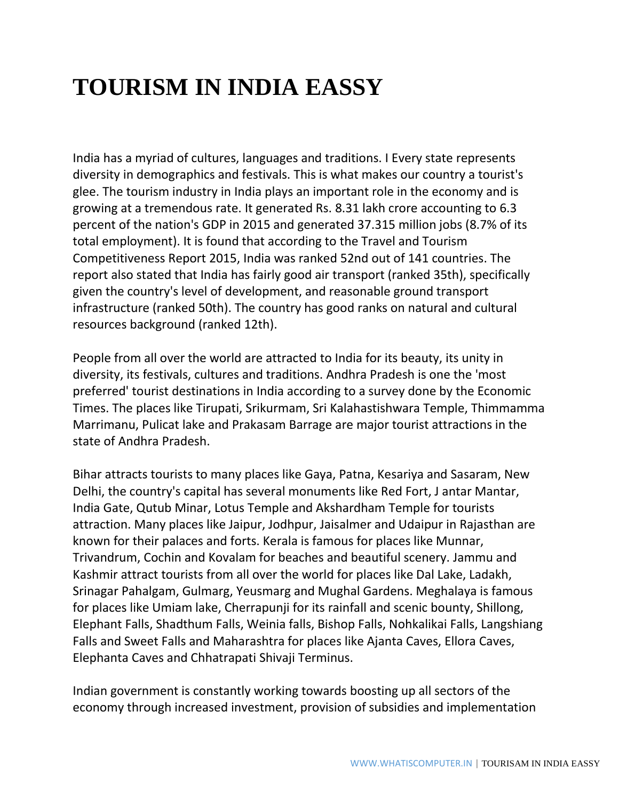## **TOURISM IN INDIA EASSY**

India has a myriad of cultures, languages and traditions. I Every state represents diversity in demographics and festivals. This is what makes our country a tourist's glee. The tourism industry in India plays an important role in the economy and is growing at a tremendous rate. It generated Rs. 8.31 lakh crore accounting to 6.3 percent of the nation's GDP in 2015 and generated 37.315 million jobs (8.7% of its total employment). It is found that according to the Travel and Tourism Competitiveness Report 2015, India was ranked 52nd out of 141 countries. The report also stated that India has fairly good air transport (ranked 35th), specifically given the country's level of development, and reasonable ground transport infrastructure (ranked 50th). The country has good ranks on natural and cultural resources background (ranked 12th).

People from all over the world are attracted to India for its beauty, its unity in diversity, its festivals, cultures and traditions. Andhra Pradesh is one the 'most preferred' tourist destinations in India according to a survey done by the Economic Times. The places like Tirupati, Srikurmam, Sri Kalahastishwara Temple, Thimmamma Marrimanu, Pulicat lake and Prakasam Barrage are major tourist attractions in the state of Andhra Pradesh.

Bihar attracts tourists to many places like Gaya, Patna, Kesariya and Sasaram, New Delhi, the country's capital has several monuments like Red Fort, J antar Mantar, India Gate, Qutub Minar, Lotus Temple and Akshardham Temple for tourists attraction. Many places like Jaipur, Jodhpur, Jaisalmer and Udaipur in Rajasthan are known for their palaces and forts. Kerala is famous for places like Munnar, Trivandrum, Cochin and Kovalam for beaches and beautiful scenery. Jammu and Kashmir attract tourists from all over the world for places like Dal Lake, Ladakh, Srinagar Pahalgam, Gulmarg, Yeusmarg and Mughal Gardens. Meghalaya is famous for places like Umiam lake, Cherrapunji for its rainfall and scenic bounty, Shillong, Elephant Falls, Shadthum Falls, Weinia falls, Bishop Falls, Nohkalikai Falls, Langshiang Falls and Sweet Falls and Maharashtra for places like Ajanta Caves, Ellora Caves, Elephanta Caves and Chhatrapati Shivaji Terminus.

Indian government is constantly working towards boosting up all sectors of the economy through increased investment, provision of subsidies and implementation